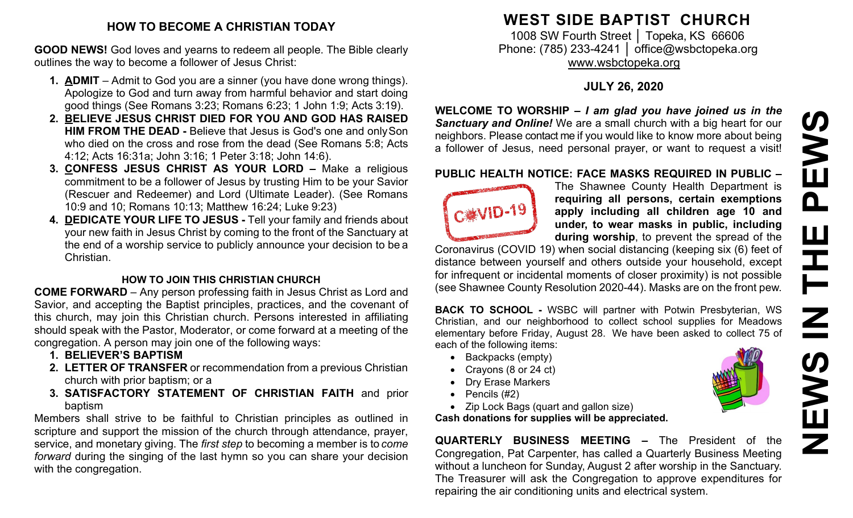### **HOW TO BECOME A CHRISTIAN TODAY**

**GOOD NEWS!** God loves and yearns to redeem all people. The Bible clearly outlines the way to become a follower of Jesus Christ:

- **1. ADMIT**  Admit to God you are a sinner (you have done wrong things). Apologize to God and turn away from harmful behavior and start doing good things (See Romans 3:23; Romans 6:23; 1 John 1:9; Acts 3:19).
- **2. BELIEVE JESUS CHRIST DIED FOR YOU AND GOD HAS RAISED HIM FROM THE DEAD -** Believe that Jesus is God's one and onlySon who died on the cross and rose from the dead (See Romans 5:8; Acts 4:12; Acts 16:31a; John 3:16; 1 Peter 3:18; John 14:6).
- **3. CONFESS JESUS CHRIST AS YOUR LORD –** Make a religious commitment to be a follower of Jesus by trusting Him to be your Savior (Rescuer and Redeemer) and Lord (Ultimate Leader). (See Romans 10:9 and 10; Romans 10:13; Matthew 16:24; Luke 9:23)
- **4. DEDICATE YOUR LIFE TO JESUS -** Tell your family and friends about your new faith in Jesus Christ by coming to the front of the Sanctuary at the end of a worship service to publicly announce your decision to be a Christian.

### **HOW TO JOIN THIS CHRISTIAN CHURCH**

**COME FORWARD** – Any person professing faith in Jesus Christ as Lord and Savior, and accepting the Baptist principles, practices, and the covenant of this church, may join this Christian church. Persons interested in affiliating should speak with the Pastor, Moderator, or come forward at a meeting of the congregation. A person may join one of the following ways:

- **1. BELIEVER'S BAPTISM**
- **2. LETTER OF TRANSFER** or recommendation from a previous Christian church with prior baptism; or a
- **3. SATISFACTORY STATEMENT OF CHRISTIAN FAITH** and prior baptism

Members shall strive to be faithful to Christian principles as outlined in scripture and support the mission of the church through attendance, prayer, service, and monetary giving. The *first step* to becoming a member is to *come forward* during the singing of the last hymn so you can share your decision with the congregation.

## **WEST SIDE BAPTIST CHURCH**

1008 SW Fourth Street | Topeka, KS 66606 Phone: (785) 233-4241 │ [office@wsbctopeka.org](mailto:office@wsbctopeka.org) [www.wsbctopeka.org](http://www.wsbctopeka.org/)

### **JULY 26, 2020**

**WELCOME TO WORSHIP –** *I am glad you have joined us in the Sanctuary and Online!* We are a small church with a big heart for our neighbors. Please contact me if you would like to know more about being a follower of Jesus, need personal prayer, or want to request a visit!

### **PUBLIC HEALTH NOTICE: FACE MASKS REQUIRED IN PUBLIC –**



The Shawnee County Health Department is **requiring all persons, certain exemptions apply including all children age 10 and under, to wear masks in public, including during worship**, to prevent the spread of the

Coronavirus (COVID 19) when social distancing (keeping six (6) feet of distance between yourself and others outside your household, except for infrequent or incidental moments of closer proximity) is not possible (see Shawnee County Resolution 2020-44). Masks are on the front pew.

**BACK TO SCHOOL -** WSBC will partner with Potwin Presbyterian, WS Christian, and our neighborhood to collect school supplies for Meadows elementary before Friday, August 28. We have been asked to collect 75 of each of the following items:

- Backpacks (empty)
- Crayons (8 or 24 ct)
- Dry Erase Markers
- Pencils (#2)
- Zip Lock Bags (quart and gallon size)

**Cash donations for supplies will be appreciated.** 

**QUARTERLY BUSINESS MEETING –** The President of the Congregation, Pat Carpenter, has called a Quarterly Business Meeting without a luncheon for Sunday, August 2 after worship in the Sanctuary. The Treasurer will ask the Congregation to approve expenditures for repairing the air conditioning units and electrical system.



**NEWS IN THE PEWS**PEW. Щ Ē  $\overline{\mathbf{z}}$ **N∃** Z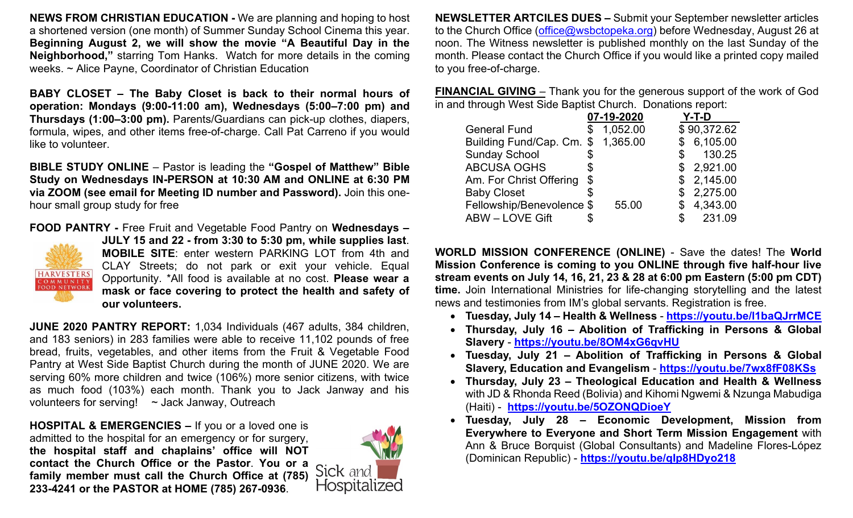**NEWS FROM CHRISTIAN EDUCATION -** We are planning and hoping to host a shortened version (one month) of Summer Sunday School Cinema this year. **Beginning August 2, we will show the movie "A Beautiful Day in the Neighborhood,"** starring Tom Hanks. Watch for more details in the coming weeks. ~ Alice Payne, Coordinator of Christian Education

**BABY CLOSET – The Baby Closet is back to their normal hours of operation: Mondays (9:00-11:00 am), Wednesdays (5:00–7:00 pm) and Thursdays (1:00–3:00 pm).** Parents/Guardians can pick-up clothes, diapers, formula, wipes, and other items free-of-charge. Call Pat Carreno if you would like to volunteer.

**BIBLE STUDY ONLINE** – Pastor is leading the **"Gospel of Matthew" Bible Study on Wednesdays IN-PERSON at 10:30 AM and ONLINE at 6:30 PM via ZOOM (see email for Meeting ID number and Password).** Join this onehour small group study for free

**FOOD PANTRY -** Free Fruit and Vegetable Food Pantry on **Wednesdays –**



**JULY 15 and 22 - from 3:30 to 5:30 pm, while supplies last**. **MOBILE SITE**: enter western PARKING LOT from 4th and CLAY Streets; do not park or exit your vehicle. Equal Opportunity. \*All food is available at no cost. **Please wear a mask or face covering to protect the health and safety of our volunteers.**

**JUNE 2020 PANTRY REPORT:** 1,034 Individuals (467 adults, 384 children, and 183 seniors) in 283 families were able to receive 11,102 pounds of free bread, fruits, vegetables, and other items from the Fruit & Vegetable Food Pantry at West Side Baptist Church during the month of JUNE 2020. We are serving 60% more children and twice (106%) more senior citizens, with twice as much food (103%) each month. Thank you to Jack Janway and his volunteers for serving! ~ Jack Janway, Outreach

**HOSPITAL & EMERGENCIES –** If you or a loved one is admitted to the hospital for an emergency or for surgery, **the hospital staff and chaplains' office will NOT contact the Church Office or the Pastor**. **You or a family member must call the Church Office at (785) 233-4241 or the PASTOR at HOME (785) 267-0936**.



**NEWSLETTER ARTCILES DUES –** Submit your September newsletter articles to the Church Office [\(office@wsbctopeka.org\)](mailto:office@wsbctopeka.org) before Wednesday, August 26 at noon. The Witness newsletter is published monthly on the last Sunday of the month. Please contact the Church Office if you would like a printed copy mailed to you free-of-charge.

**FINANCIAL GIVING** – Thank you for the generous support of the work of God in and through West Side Baptist Church. Donations report:

|                           |    | 07-19-2020 | Y-T-D        |
|---------------------------|----|------------|--------------|
| <b>General Fund</b>       |    | 1,052.00   | \$90,372.62  |
| Building Fund/Cap. Cm. \$ |    | 1,365.00   | \$6,105.00   |
| <b>Sunday School</b>      | S  |            | \$<br>130.25 |
| <b>ABCUSA OGHS</b>        | S  |            | \$2,921.00   |
| Am. For Christ Offering   | \$ |            | \$2,145.00   |
| <b>Baby Closet</b>        |    |            | \$2,275.00   |
| Fellowship/Benevolence \$ |    | 55.00      | \$4,343.00   |
| <b>ABW - LOVE Gift</b>    |    |            | \$<br>231.09 |

**WORLD MISSION CONFERENCE (ONLINE)** - Save the dates! The **World Mission Conference is coming to you ONLINE through five half-hour live stream events on July 14, 16, 21, 23 & 28 at 6:00 pm Eastern (5:00 pm CDT) time.** Join International Ministries for life-changing storytelling and the latest news and testimonies from IM's global servants. Registration is free.

- **Tuesday, July 14 – Health & Wellness [https://youtu.be/l1baQJrrMCE](https://internationalministries.cmail19.com/t/d-l-muhmtd-trlrhhkyv-r/)**
- **Thursday, July 16 – Abolition of Trafficking in Persons & Global Slavery** - **[https://youtu.be/8OM4xG6qvHU](https://internationalministries.cmail19.com/t/d-l-muhmtd-trlrhhkyv-y/)**
- **Tuesday, July 21 – Abolition of Trafficking in Persons & Global Slavery, Education and Evangelism** - **[https://youtu.be/7wx8fF08KSs](https://internationalministries.cmail19.com/t/d-l-muhmtd-trlrhhkyv-j/)**
- **Thursday, July 23 – Theological Education and Health & Wellness** with JD & Rhonda Reed (Bolivia) and Kihomi Ngwemi & Nzunga Mabudiga (Haiti) - **[https://youtu.be/5OZONQDioeY](https://internationalministries.cmail19.com/t/d-l-muhmtd-trlrhhkyv-t/)**
- **Tuesday, July 28 – Economic Development, Mission from Everywhere to Everyone and Short Term Mission Engagement** with Ann & Bruce Borquist (Global Consultants) and Madeline Flores-López (Dominican Republic) - **[https://youtu.be/qIp8HDyo218](https://internationalministries.cmail19.com/t/d-l-muhmtd-trlrhhkyv-i/)**